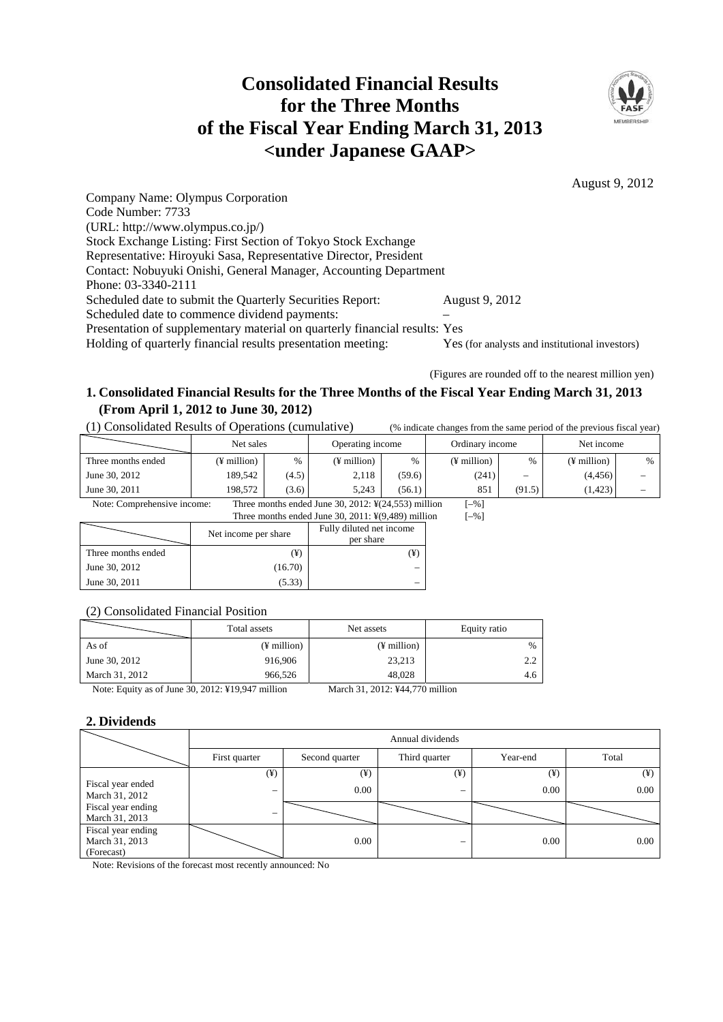# **Consolidated Financial Results for the Three Months of the Fiscal Year Ending March 31, 2013 <under Japanese GAAP>**



August 9, 2012

Company Name: Olympus Corporation Code Number: 7733 (URL: http://www.olympus.co.jp/) Stock Exchange Listing: First Section of Tokyo Stock Exchange Representative: Hiroyuki Sasa, Representative Director, President Contact: Nobuyuki Onishi, General Manager, Accounting Department Phone: 03-3340-2111 Scheduled date to submit the Quarterly Securities Report: August 9, 2012 Scheduled date to commence dividend payments: Presentation of supplementary material on quarterly financial results: Yes Holding of quarterly financial results presentation meeting: Yes (for analysts and institutional investors)

(Figures are rounded off to the nearest million yen)

# **1. Consolidated Financial Results for the Three Months of the Fiscal Year Ending March 31, 2013 (From April 1, 2012 to June 30, 2012)**

(1) Consolidated Results of Operations (cumulative) (% indicate changes from the same period of the previous fiscal year)

|                    | Net sales   |       | Operating income |        | Ordinary income |                                         | Net income    |   |
|--------------------|-------------|-------|------------------|--------|-----------------|-----------------------------------------|---------------|---|
| Three months ended | (¥ million) | $\%$  | ¥ million)       | $\%$   | (¥ million)     | $\%$                                    | $(F$ million) | % |
| June 30, 2012      | 189.542     | (4.5) | 2.118            | (59.6) | (241)           | $\qquad \qquad \  \  \, -\qquad \qquad$ | (4,456)       | - |
| June 30, 2011      | 198,572     | (3.6) | 5.243            | (56.1) | 851             | (91.5)                                  | (1,423)       | - |

Note: Comprehensive income: Three months ended June 30, 2012: ¥(24,553) million [–%]

| Three months ended June 30, 2011: $\frac{1}{2}(9,489)$ million |                      |                                       |  |  |  |  |
|----------------------------------------------------------------|----------------------|---------------------------------------|--|--|--|--|
|                                                                | Net income per share | Fully diluted net income<br>per share |  |  |  |  |
| Three months ended                                             | (¥)                  | ¥)                                    |  |  |  |  |
| June 30, 2012                                                  | (16.70)              |                                       |  |  |  |  |
| June 30, 2011                                                  | (5.33)               |                                       |  |  |  |  |

## (2) Consolidated Financial Position

|                                                                                                                                                                                                                                                                                                                                    | Total assets            | Net assets                                                                                                                                                                                                                                                                                                                                                                                                              | Equity ratio  |  |
|------------------------------------------------------------------------------------------------------------------------------------------------------------------------------------------------------------------------------------------------------------------------------------------------------------------------------------|-------------------------|-------------------------------------------------------------------------------------------------------------------------------------------------------------------------------------------------------------------------------------------------------------------------------------------------------------------------------------------------------------------------------------------------------------------------|---------------|--|
| As of                                                                                                                                                                                                                                                                                                                              | $(\frac{1}{2})$ million | $(F$ million)                                                                                                                                                                                                                                                                                                                                                                                                           | $\frac{0}{0}$ |  |
| June 30, 2012                                                                                                                                                                                                                                                                                                                      | 916.906                 | 23,213                                                                                                                                                                                                                                                                                                                                                                                                                  | っっ            |  |
| March 31, 2012                                                                                                                                                                                                                                                                                                                     | 966.526                 | 48.028                                                                                                                                                                                                                                                                                                                                                                                                                  | 4.6           |  |
| $\mathbf{M}$ $\mathbf{F}$ $\mathbf{V}$ $\mathbf{F}$ $\mathbf{F}$ $\mathbf{F}$ $\mathbf{F}$ $\mathbf{F}$ $\mathbf{F}$ $\mathbf{F}$ $\mathbf{F}$ $\mathbf{F}$ $\mathbf{F}$ $\mathbf{F}$ $\mathbf{F}$ $\mathbf{F}$ $\mathbf{F}$ $\mathbf{F}$ $\mathbf{F}$ $\mathbf{F}$ $\mathbf{F}$ $\mathbf{F}$ $\mathbf{F}$ $\mathbf{F}$ $\mathbf{$ |                         | $\mathbf{M} = \mathbf{1} - \mathbf{2} \mathbf{1} - \mathbf{2} \mathbf{2} \mathbf{1} - \mathbf{3} \mathbf{3} \mathbf{1} + \mathbf{3} \mathbf{3} \mathbf{2} \mathbf{3} + \mathbf{1} \mathbf{1} \mathbf{3} \mathbf{3} + \mathbf{1} \mathbf{3} \mathbf{3} \mathbf{4} + \mathbf{1} \mathbf{3} \mathbf{3} \mathbf{4} + \mathbf{1} \mathbf{3} \mathbf{3} \mathbf{4} + \mathbf{1} \mathbf{3} \mathbf{3} \mathbf{4} + \mathbf{1$ |               |  |

Note: Equity as of June 30, 2012: ¥19,947 million March 31, 2012: ¥44,770 million

## **2. Dividends**

|                                                    | Annual dividends         |                |               |          |          |  |  |
|----------------------------------------------------|--------------------------|----------------|---------------|----------|----------|--|--|
|                                                    | First quarter            | Second quarter | Third quarter | Year-end | Total    |  |  |
|                                                    | $(\yen)$                 | $(\yen)$       | $(\yen)$      | $(\yen)$ | $(\yen)$ |  |  |
| Fiscal year ended<br>March 31, 2012                | $\overline{\phantom{m}}$ | 0.00           | -             | 0.00     | 0.00     |  |  |
| Fiscal year ending<br>March 31, 2013               |                          |                |               |          |          |  |  |
| Fiscal year ending<br>March 31, 2013<br>(Forecast) |                          | 0.00           | -             | 0.00     | 0.00     |  |  |

Note: Revisions of the forecast most recently announced: No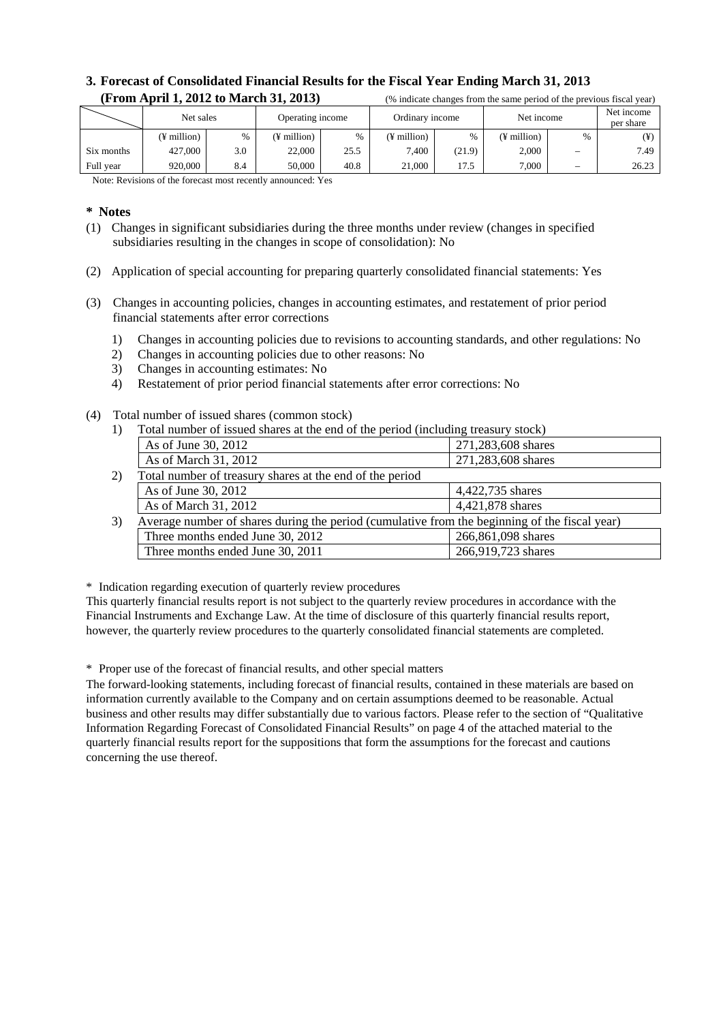## **3. Forecast of Consolidated Financial Results for the Fiscal Year Ending March 31, 2013 (From April 1, 2012 to March 31, 2013)** <sup>(%</sup> indicate changes from the same period of the previous fiscal year)

|            | Net sales   |               | Operating income |      | Ordinary income |               | Net income  |      | Net income<br>per share |
|------------|-------------|---------------|------------------|------|-----------------|---------------|-------------|------|-------------------------|
|            | (¥ million) | $\frac{0}{0}$ | (¥ million)      | %    | (¥ million)     | $\frac{0}{6}$ | (¥ million) | $\%$ | ¥)                      |
| Six months | 427,000     | 3.0           | 22,000           | 25.5 | 7.400           | (21.9)        | 2,000       | -    | 7.49                    |
| Full year  | 920,000     | 8.4           | 50,000           | 40.8 | 21.000          | 17.5          | 7.000       | —    | 26.23                   |

Note: Revisions of the forecast most recently announced: Yes

#### **\* Notes**

- (1) Changes in significant subsidiaries during the three months under review (changes in specified subsidiaries resulting in the changes in scope of consolidation): No
- (2) Application of special accounting for preparing quarterly consolidated financial statements: Yes
- (3) Changes in accounting policies, changes in accounting estimates, and restatement of prior period financial statements after error corrections
	- 1) Changes in accounting policies due to revisions to accounting standards, and other regulations: No
	- 2) Changes in accounting policies due to other reasons: No
	- 3) Changes in accounting estimates: No
	- 4) Restatement of prior period financial statements after error corrections: No
- (4) Total number of issued shares (common stock)
	- 1) Total number of issued shares at the end of the period (including treasury stock)

| Average number of shares during the period (cumulative from the beginning of the fiscal year) |
|-----------------------------------------------------------------------------------------------|
|                                                                                               |
|                                                                                               |
|                                                                                               |

\* Indication regarding execution of quarterly review procedures

This quarterly financial results report is not subject to the quarterly review procedures in accordance with the Financial Instruments and Exchange Law. At the time of disclosure of this quarterly financial results report, however, the quarterly review procedures to the quarterly consolidated financial statements are completed.

\* Proper use of the forecast of financial results, and other special matters

The forward-looking statements, including forecast of financial results, contained in these materials are based on information currently available to the Company and on certain assumptions deemed to be reasonable. Actual business and other results may differ substantially due to various factors. Please refer to the section of "Qualitative Information Regarding Forecast of Consolidated Financial Results" on page 4 of the attached material to the quarterly financial results report for the suppositions that form the assumptions for the forecast and cautions concerning the use thereof.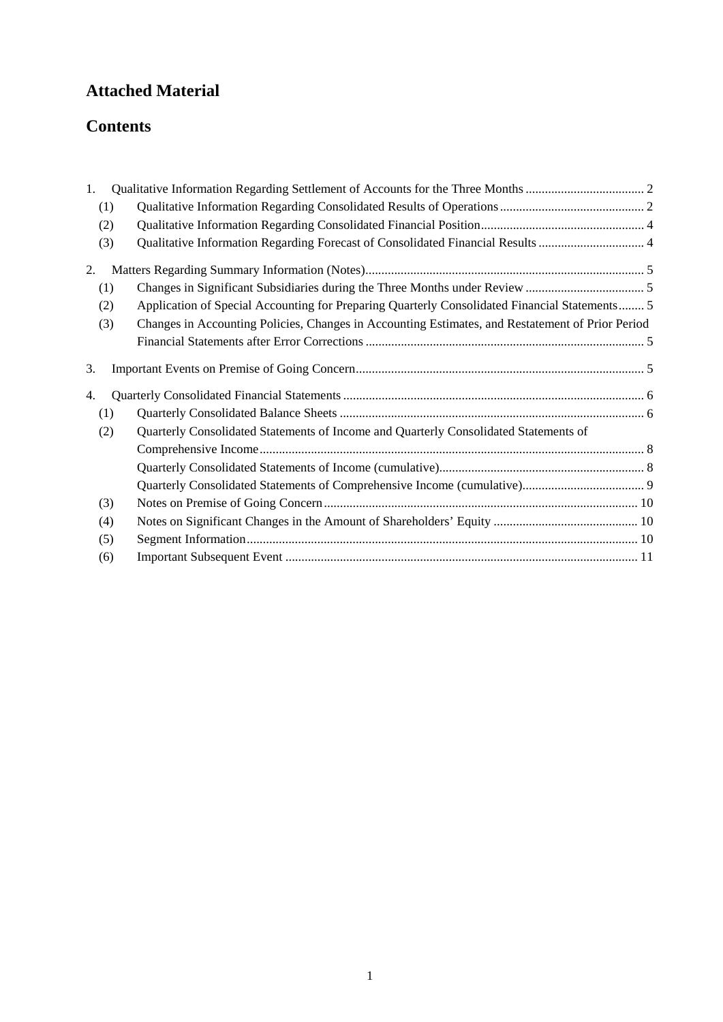# **Attached Material**

# **Contents**

| 1.  |                                                                                                  |  |
|-----|--------------------------------------------------------------------------------------------------|--|
| (1) |                                                                                                  |  |
| (2) |                                                                                                  |  |
| (3) | Qualitative Information Regarding Forecast of Consolidated Financial Results  4                  |  |
| 2.  |                                                                                                  |  |
| (1) |                                                                                                  |  |
| (2) | Application of Special Accounting for Preparing Quarterly Consolidated Financial Statements 5    |  |
| (3) | Changes in Accounting Policies, Changes in Accounting Estimates, and Restatement of Prior Period |  |
|     |                                                                                                  |  |
| 3.  |                                                                                                  |  |
| 4.  |                                                                                                  |  |
| (1) |                                                                                                  |  |
| (2) | Quarterly Consolidated Statements of Income and Quarterly Consolidated Statements of             |  |
|     |                                                                                                  |  |
|     |                                                                                                  |  |
|     |                                                                                                  |  |
| (3) |                                                                                                  |  |
| (4) |                                                                                                  |  |
| (5) |                                                                                                  |  |
| (6) |                                                                                                  |  |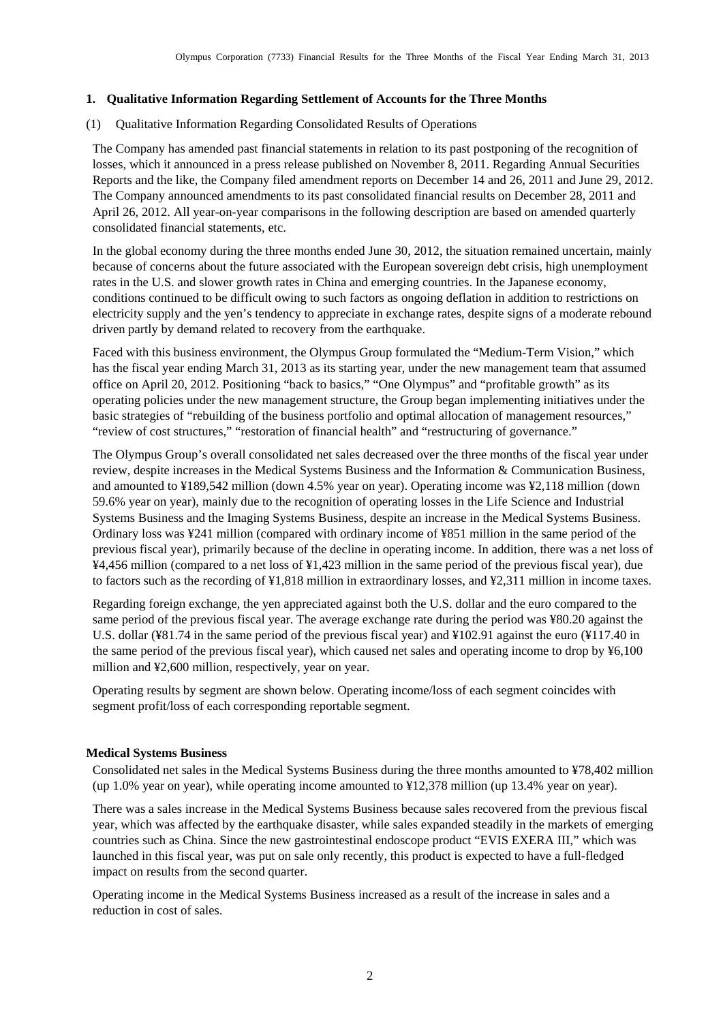### <span id="page-3-0"></span>**1. Qualitative Information Regarding Settlement of Accounts for the Three Months**

#### <span id="page-3-1"></span>(1) Qualitative Information Regarding Consolidated Results of Operations

The Company has amended past financial statements in relation to its past postponing of the recognition of losses, which it announced in a press release published on November 8, 2011. Regarding Annual Securities Reports and the like, the Company filed amendment reports on December 14 and 26, 2011 and June 29, 2012. The Company announced amendments to its past consolidated financial results on December 28, 2011 and April 26, 2012. All year-on-year comparisons in the following description are based on amended quarterly consolidated financial statements, etc.

In the global economy during the three months ended June 30, 2012, the situation remained uncertain, mainly because of concerns about the future associated with the European sovereign debt crisis, high unemployment rates in the U.S. and slower growth rates in China and emerging countries. In the Japanese economy, conditions continued to be difficult owing to such factors as ongoing deflation in addition to restrictions on electricity supply and the yen's tendency to appreciate in exchange rates, despite signs of a moderate rebound driven partly by demand related to recovery from the earthquake.

Faced with this business environment, the Olympus Group formulated the "Medium-Term Vision," which has the fiscal year ending March 31, 2013 as its starting year, under the new management team that assumed office on April 20, 2012. Positioning "back to basics," "One Olympus" and "profitable growth" as its operating policies under the new management structure, the Group began implementing initiatives under the basic strategies of "rebuilding of the business portfolio and optimal allocation of management resources," "review of cost structures," "restoration of financial health" and "restructuring of governance."

The Olympus Group's overall consolidated net sales decreased over the three months of the fiscal year under review, despite increases in the Medical Systems Business and the Information & Communication Business, and amounted to ¥189,542 million (down 4.5% year on year). Operating income was ¥2,118 million (down 59.6% year on year), mainly due to the recognition of operating losses in the Life Science and Industrial Systems Business and the Imaging Systems Business, despite an increase in the Medical Systems Business. Ordinary loss was ¥241 million (compared with ordinary income of ¥851 million in the same period of the previous fiscal year), primarily because of the decline in operating income. In addition, there was a net loss of ¥4,456 million (compared to a net loss of ¥1,423 million in the same period of the previous fiscal year), due to factors such as the recording of ¥1,818 million in extraordinary losses, and ¥2,311 million in income taxes.

Regarding foreign exchange, the yen appreciated against both the U.S. dollar and the euro compared to the same period of the previous fiscal year. The average exchange rate during the period was ¥80.20 against the U.S. dollar (¥81.74 in the same period of the previous fiscal year) and ¥102.91 against the euro (¥117.40 in the same period of the previous fiscal year), which caused net sales and operating income to drop by ¥6,100 million and ¥2,600 million, respectively, year on year.

Operating results by segment are shown below. Operating income/loss of each segment coincides with segment profit/loss of each corresponding reportable segment.

#### **Medical Systems Business**

Consolidated net sales in the Medical Systems Business during the three months amounted to ¥78,402 million (up 1.0% year on year), while operating income amounted to ¥12,378 million (up 13.4% year on year).

There was a sales increase in the Medical Systems Business because sales recovered from the previous fiscal year, which was affected by the earthquake disaster, while sales expanded steadily in the markets of emerging countries such as China. Since the new gastrointestinal endoscope product "EVIS EXERA III," which was launched in this fiscal year, was put on sale only recently, this product is expected to have a full-fledged impact on results from the second quarter.

Operating income in the Medical Systems Business increased as a result of the increase in sales and a reduction in cost of sales.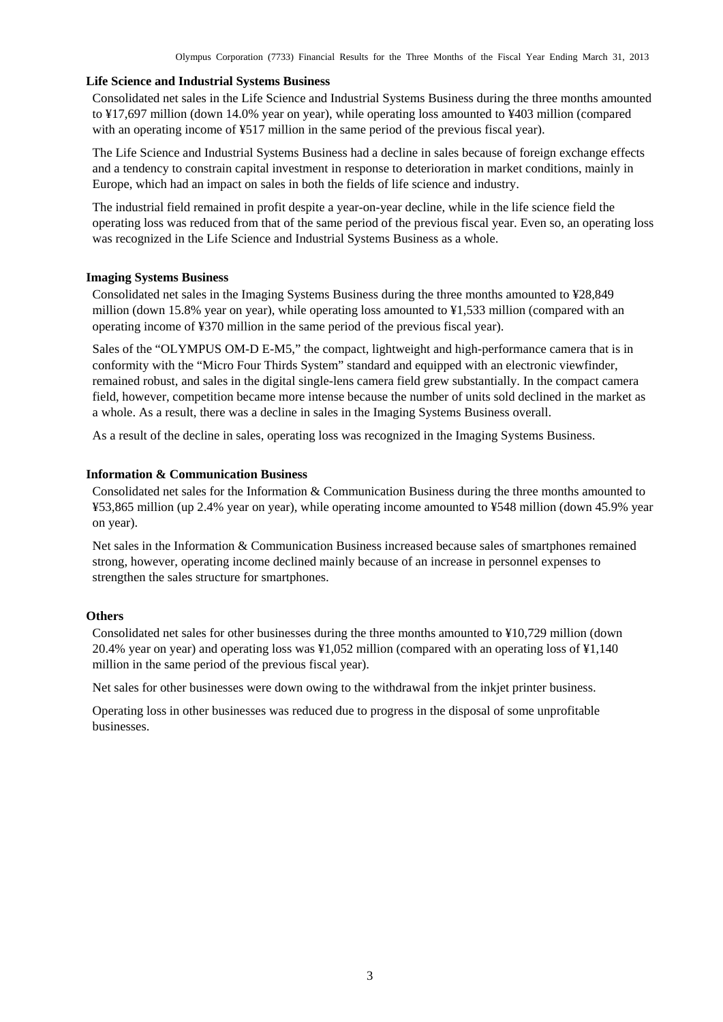#### **Life Science and Industrial Systems Business**

Consolidated net sales in the Life Science and Industrial Systems Business during the three months amounted to ¥17,697 million (down 14.0% year on year), while operating loss amounted to ¥403 million (compared with an operating income of  $\frac{1}{2}$  million in the same period of the previous fiscal year).

The Life Science and Industrial Systems Business had a decline in sales because of foreign exchange effects and a tendency to constrain capital investment in response to deterioration in market conditions, mainly in Europe, which had an impact on sales in both the fields of life science and industry.

The industrial field remained in profit despite a year-on-year decline, while in the life science field the operating loss was reduced from that of the same period of the previous fiscal year. Even so, an operating loss was recognized in the Life Science and Industrial Systems Business as a whole.

#### **Imaging Systems Business**

Consolidated net sales in the Imaging Systems Business during the three months amounted to ¥28,849 million (down 15.8% year on year), while operating loss amounted to ¥1,533 million (compared with an operating income of ¥370 million in the same period of the previous fiscal year).

Sales of the "OLYMPUS OM-D E-M5," the compact, lightweight and high-performance camera that is in conformity with the "Micro Four Thirds System" standard and equipped with an electronic viewfinder, remained robust, and sales in the digital single-lens camera field grew substantially. In the compact camera field, however, competition became more intense because the number of units sold declined in the market as a whole. As a result, there was a decline in sales in the Imaging Systems Business overall.

As a result of the decline in sales, operating loss was recognized in the Imaging Systems Business.

### **Information & Communication Business**

Consolidated net sales for the Information & Communication Business during the three months amounted to ¥53,865 million (up 2.4% year on year), while operating income amounted to ¥548 million (down 45.9% year on year).

Net sales in the Information & Communication Business increased because sales of smartphones remained strong, however, operating income declined mainly because of an increase in personnel expenses to strengthen the sales structure for smartphones.

#### **Others**

Consolidated net sales for other businesses during the three months amounted to ¥10,729 million (down 20.4% year on year) and operating loss was ¥1,052 million (compared with an operating loss of ¥1,140 million in the same period of the previous fiscal year).

Net sales for other businesses were down owing to the withdrawal from the inkjet printer business.

Operating loss in other businesses was reduced due to progress in the disposal of some unprofitable businesses.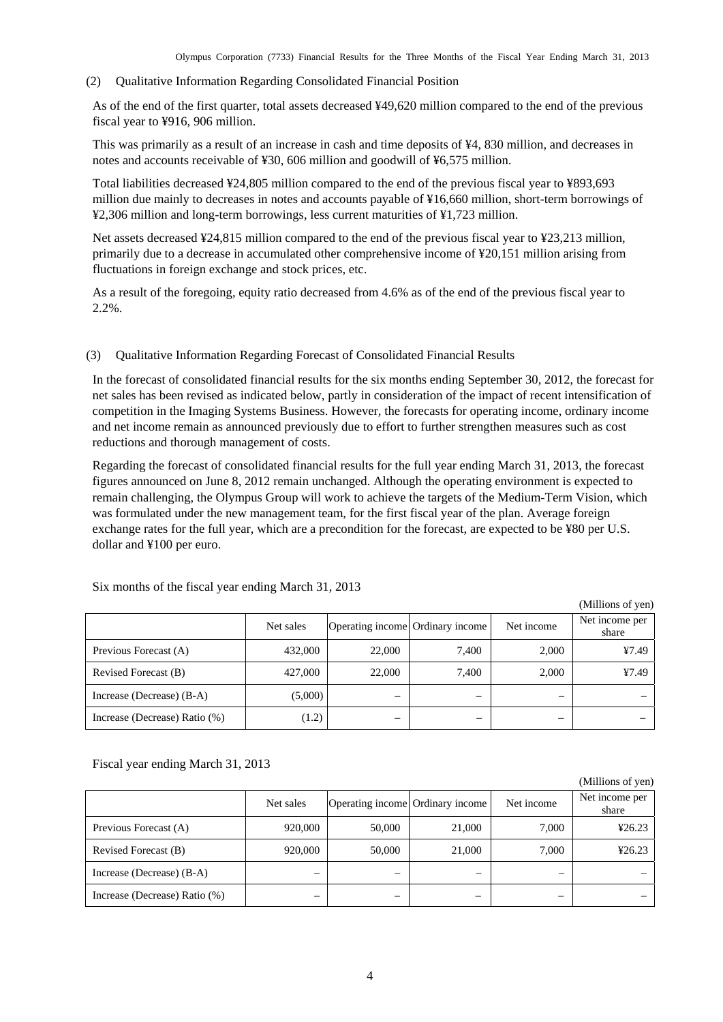<span id="page-5-0"></span>(2) Qualitative Information Regarding Consolidated Financial Position

As of the end of the first quarter, total assets decreased ¥49,620 million compared to the end of the previous fiscal year to ¥916, 906 million.

This was primarily as a result of an increase in cash and time deposits of ¥4, 830 million, and decreases in notes and accounts receivable of ¥30, 606 million and goodwill of ¥6,575 million.

Total liabilities decreased ¥24,805 million compared to the end of the previous fiscal year to ¥893,693 million due mainly to decreases in notes and accounts payable of ¥16,660 million, short-term borrowings of ¥2,306 million and long-term borrowings, less current maturities of ¥1,723 million.

Net assets decreased ¥24,815 million compared to the end of the previous fiscal year to ¥23,213 million, primarily due to a decrease in accumulated other comprehensive income of ¥20,151 million arising from fluctuations in foreign exchange and stock prices, etc.

As a result of the foregoing, equity ratio decreased from 4.6% as of the end of the previous fiscal year to 2.2%.

#### <span id="page-5-1"></span>(3) Qualitative Information Regarding Forecast of Consolidated Financial Results

In the forecast of consolidated financial results for the six months ending September 30, 2012, the forecast for net sales has been revised as indicated below, partly in consideration of the impact of recent intensification of competition in the Imaging Systems Business. However, the forecasts for operating income, ordinary income and net income remain as announced previously due to effort to further strengthen measures such as cost reductions and thorough management of costs.

Regarding the forecast of consolidated financial results for the full year ending March 31, 2013, the forecast figures announced on June 8, 2012 remain unchanged. Although the operating environment is expected to remain challenging, the Olympus Group will work to achieve the targets of the Medium-Term Vision, which was formulated under the new management team, for the first fiscal year of the plan. Average foreign exchange rates for the full year, which are a precondition for the forecast, are expected to be ¥80 per U.S. dollar and ¥100 per euro.

|                               |           |                                  |       |            | (Millions of yen)       |
|-------------------------------|-----------|----------------------------------|-------|------------|-------------------------|
|                               | Net sales | Operating income Ordinary income |       | Net income | Net income per<br>share |
| Previous Forecast (A)         | 432,000   | 22,000                           | 7.400 | 2,000      | 47.49                   |
| Revised Forecast (B)          | 427,000   | 22,000                           | 7.400 | 2.000      | 47.49                   |
| Increase (Decrease) (B-A)     | (5,000)   |                                  |       | –          |                         |
| Increase (Decrease) Ratio (%) | (1.2)     |                                  |       | –          |                         |

Six months of the fiscal year ending March 31, 2013

Fiscal year ending March 31, 2013

|                               |           |                                  |        |            | (Millions of yen)       |
|-------------------------------|-----------|----------------------------------|--------|------------|-------------------------|
|                               | Net sales | Operating income Ordinary income |        | Net income | Net income per<br>share |
| Previous Forecast (A)         | 920,000   | 50,000                           | 21,000 | 7,000      | 426.23                  |
| Revised Forecast (B)          | 920,000   | 50,000                           | 21,000 | 7,000      | 426.23                  |
| Increase (Decrease) (B-A)     |           |                                  |        |            |                         |
| Increase (Decrease) Ratio (%) |           |                                  |        |            |                         |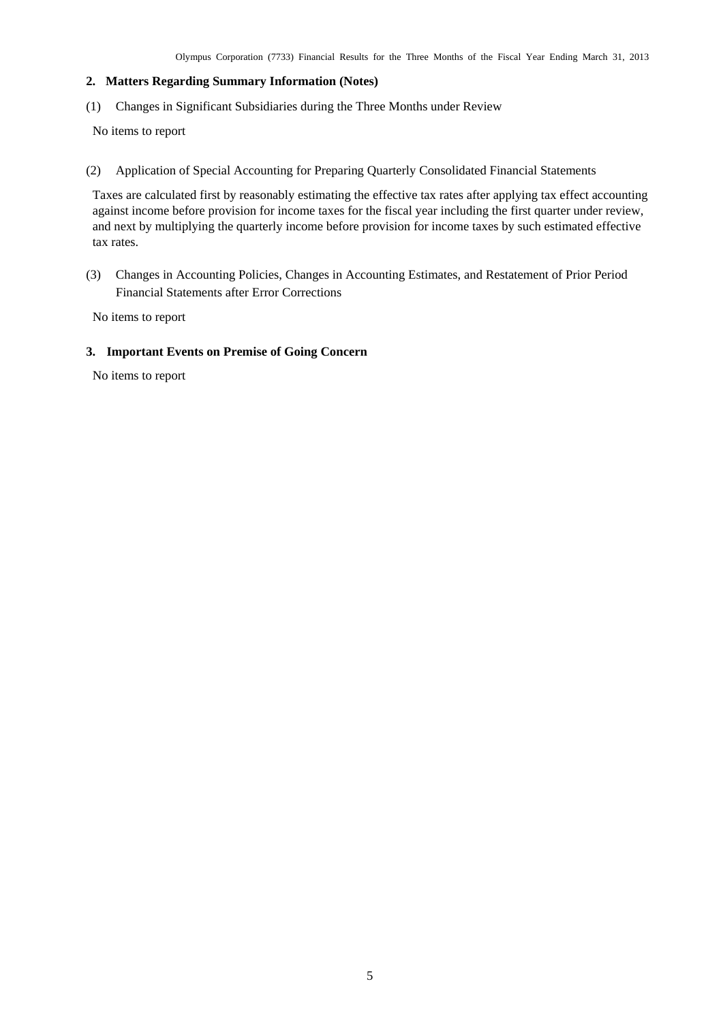#### <span id="page-6-0"></span>**2. Matters Regarding Summary Information (Notes)**

<span id="page-6-1"></span>(1) Changes in Significant Subsidiaries during the Three Months under Review

No items to report

<span id="page-6-2"></span>(2) Application of Special Accounting for Preparing Quarterly Consolidated Financial Statements

Taxes are calculated first by reasonably estimating the effective tax rates after applying tax effect accounting against income before provision for income taxes for the fiscal year including the first quarter under review, and next by multiplying the quarterly income before provision for income taxes by such estimated effective tax rates.

<span id="page-6-3"></span>(3) Changes in Accounting Policies, Changes in Accounting Estimates, and Restatement of Prior Period Financial Statements after Error Corrections

No items to report

#### <span id="page-6-4"></span>**3. Important Events on Premise of Going Concern**

No items to report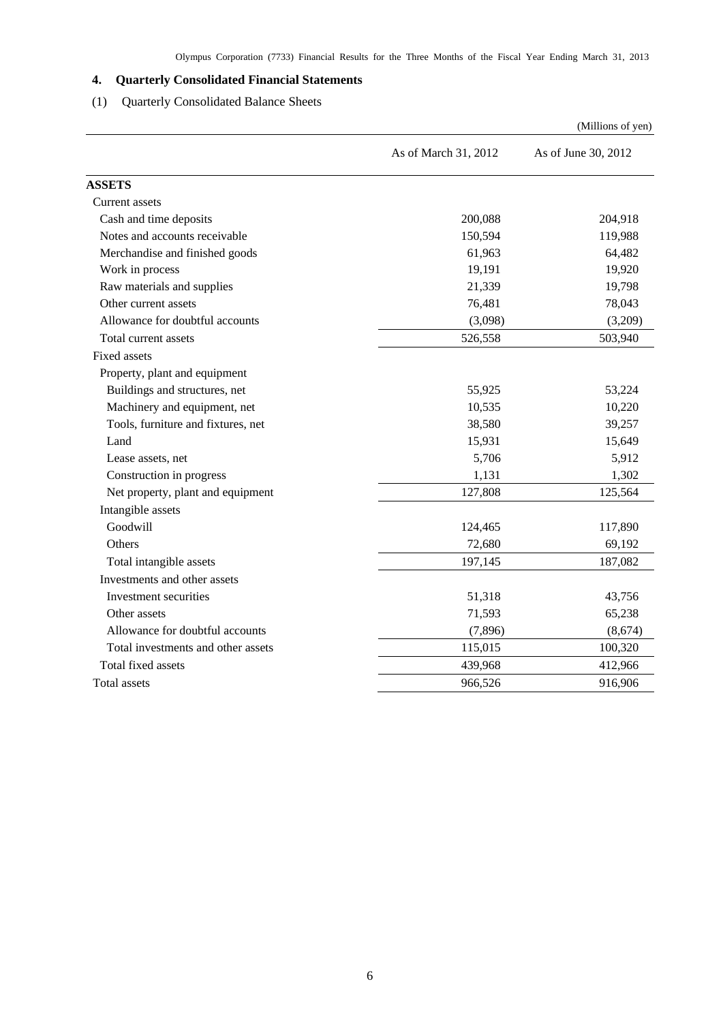# <span id="page-7-0"></span>**4. Quarterly Consolidated Financial Statements**

# (1) Quarterly Consolidated Balance Sheets

<span id="page-7-1"></span>

|                                    |                      | (Millions of yen)   |
|------------------------------------|----------------------|---------------------|
|                                    | As of March 31, 2012 | As of June 30, 2012 |
| <b>ASSETS</b>                      |                      |                     |
| Current assets                     |                      |                     |
| Cash and time deposits             | 200,088              | 204,918             |
| Notes and accounts receivable      | 150,594              | 119,988             |
| Merchandise and finished goods     | 61,963               | 64,482              |
| Work in process                    | 19,191               | 19,920              |
| Raw materials and supplies         | 21,339               | 19,798              |
| Other current assets               | 76,481               | 78,043              |
| Allowance for doubtful accounts    | (3,098)              | (3,209)             |
| Total current assets               | 526,558              | 503,940             |
| <b>Fixed assets</b>                |                      |                     |
| Property, plant and equipment      |                      |                     |
| Buildings and structures, net      | 55,925               | 53,224              |
| Machinery and equipment, net       | 10,535               | 10,220              |
| Tools, furniture and fixtures, net | 38,580               | 39,257              |
| Land                               | 15,931               | 15,649              |
| Lease assets, net                  | 5,706                | 5,912               |
| Construction in progress           | 1,131                | 1,302               |
| Net property, plant and equipment  | 127,808              | 125,564             |
| Intangible assets                  |                      |                     |
| Goodwill                           | 124,465              | 117,890             |
| Others                             | 72,680               | 69,192              |
| Total intangible assets            | 197,145              | 187,082             |
| Investments and other assets       |                      |                     |
| Investment securities              | 51,318               | 43,756              |
| Other assets                       | 71,593               | 65,238              |
| Allowance for doubtful accounts    | (7, 896)             | (8,674)             |
| Total investments and other assets | 115,015              | 100,320             |
| Total fixed assets                 | 439,968              | 412,966             |
| Total assets                       | 966,526              | 916,906             |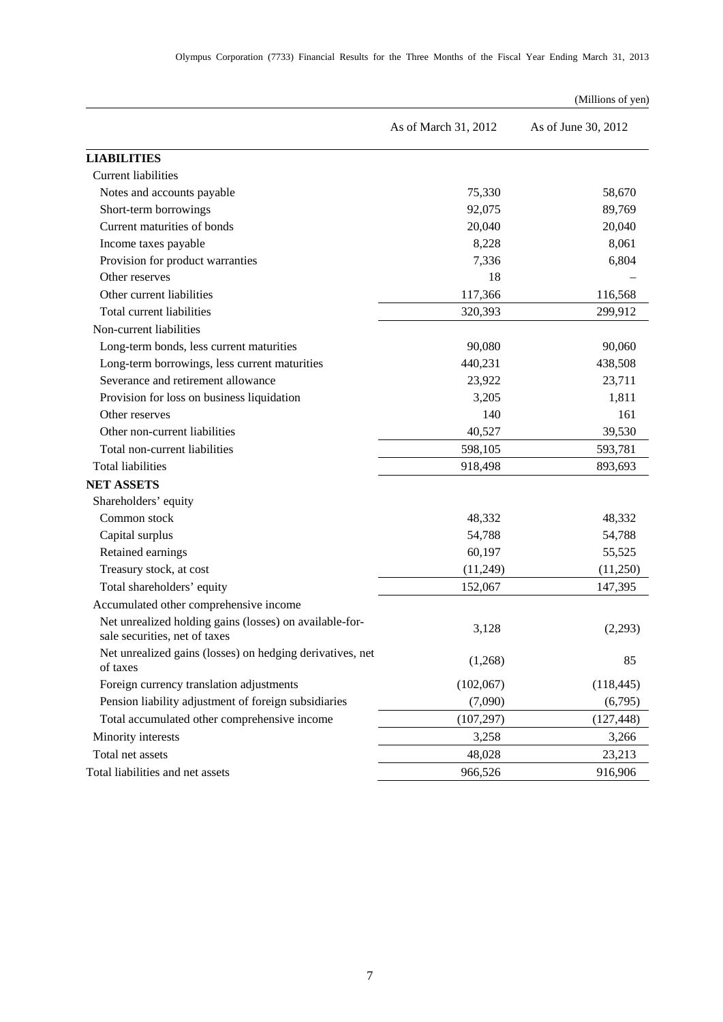|                                                                                          |                      | (Millions of yen)   |
|------------------------------------------------------------------------------------------|----------------------|---------------------|
|                                                                                          | As of March 31, 2012 | As of June 30, 2012 |
| <b>LIABILITIES</b>                                                                       |                      |                     |
| <b>Current liabilities</b>                                                               |                      |                     |
| Notes and accounts payable                                                               | 75,330               | 58,670              |
| Short-term borrowings                                                                    | 92,075               | 89,769              |
| Current maturities of bonds                                                              | 20,040               | 20,040              |
| Income taxes payable                                                                     | 8,228                | 8,061               |
| Provision for product warranties                                                         | 7,336                | 6,804               |
| Other reserves                                                                           | 18                   |                     |
| Other current liabilities                                                                | 117,366              | 116,568             |
| Total current liabilities                                                                | 320,393              | 299,912             |
| Non-current liabilities                                                                  |                      |                     |
| Long-term bonds, less current maturities                                                 | 90,080               | 90,060              |
| Long-term borrowings, less current maturities                                            | 440,231              | 438,508             |
| Severance and retirement allowance                                                       | 23,922               | 23,711              |
| Provision for loss on business liquidation                                               | 3,205                | 1,811               |
| Other reserves                                                                           | 140                  | 161                 |
| Other non-current liabilities                                                            | 40,527               | 39,530              |
| Total non-current liabilities                                                            | 598,105              | 593,781             |
| <b>Total liabilities</b>                                                                 | 918,498              | 893,693             |
| <b>NET ASSETS</b>                                                                        |                      |                     |
| Shareholders' equity                                                                     |                      |                     |
| Common stock                                                                             | 48,332               | 48,332              |
| Capital surplus                                                                          | 54,788               | 54,788              |
| Retained earnings                                                                        | 60,197               | 55,525              |
| Treasury stock, at cost                                                                  | (11,249)             | (11,250)            |
| Total shareholders' equity                                                               | 152,067              | 147,395             |
| Accumulated other comprehensive income                                                   |                      |                     |
| Net unrealized holding gains (losses) on available-for-<br>sale securities, net of taxes | 3,128                | (2,293)             |
| Net unrealized gains (losses) on hedging derivatives, net<br>of taxes                    | (1,268)              | 85                  |
| Foreign currency translation adjustments                                                 | (102,067)            | (118, 445)          |
| Pension liability adjustment of foreign subsidiaries                                     | (7,090)              | (6,795)             |
| Total accumulated other comprehensive income                                             | (107, 297)           | (127, 448)          |
| Minority interests                                                                       | 3,258                | 3,266               |
| Total net assets                                                                         | 48,028               | 23,213              |
| Total liabilities and net assets                                                         | 966,526              | 916,906             |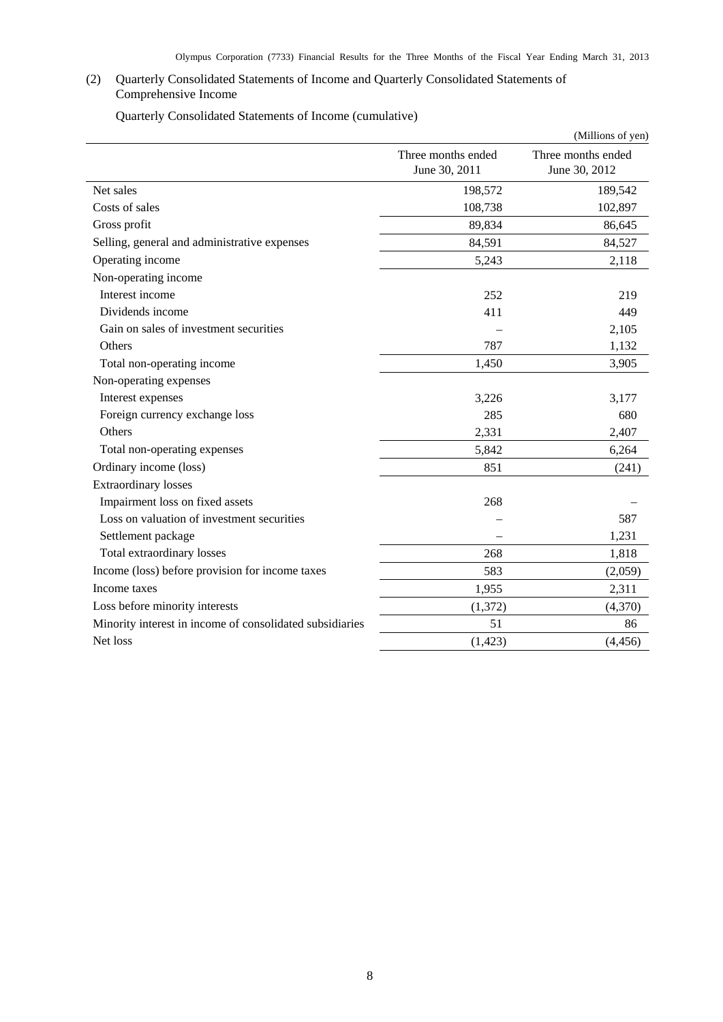## <span id="page-9-0"></span>(2) Quarterly Consolidated Statements of Income and Quarterly Consolidated Statements of Comprehensive Income

Quarterly Consolidated Statements of Income (cumulative)

<span id="page-9-1"></span>

|                                                          |                                     | (Millions of yen)                   |
|----------------------------------------------------------|-------------------------------------|-------------------------------------|
|                                                          | Three months ended<br>June 30, 2011 | Three months ended<br>June 30, 2012 |
| Net sales                                                | 198,572                             | 189,542                             |
| Costs of sales                                           | 108,738                             | 102,897                             |
| Gross profit                                             | 89,834                              | 86,645                              |
| Selling, general and administrative expenses             | 84,591                              | 84,527                              |
| Operating income                                         | 5,243                               | 2,118                               |
| Non-operating income                                     |                                     |                                     |
| Interest income                                          | 252                                 | 219                                 |
| Dividends income                                         | 411                                 | 449                                 |
| Gain on sales of investment securities                   |                                     | 2,105                               |
| Others                                                   | 787                                 | 1,132                               |
| Total non-operating income                               | 1,450                               | 3,905                               |
| Non-operating expenses                                   |                                     |                                     |
| Interest expenses                                        | 3,226                               | 3,177                               |
| Foreign currency exchange loss                           | 285                                 | 680                                 |
| Others                                                   | 2,331                               | 2,407                               |
| Total non-operating expenses                             | 5,842                               | 6,264                               |
| Ordinary income (loss)                                   | 851                                 | (241)                               |
| <b>Extraordinary losses</b>                              |                                     |                                     |
| Impairment loss on fixed assets                          | 268                                 |                                     |
| Loss on valuation of investment securities               |                                     | 587                                 |
| Settlement package                                       |                                     | 1,231                               |
| Total extraordinary losses                               | 268                                 | 1,818                               |
| Income (loss) before provision for income taxes          | 583                                 | (2,059)                             |
| Income taxes                                             | 1,955                               | 2,311                               |
| Loss before minority interests                           | (1,372)                             | (4,370)                             |
| Minority interest in income of consolidated subsidiaries | 51                                  | 86                                  |
| Net loss                                                 | (1, 423)                            | (4, 456)                            |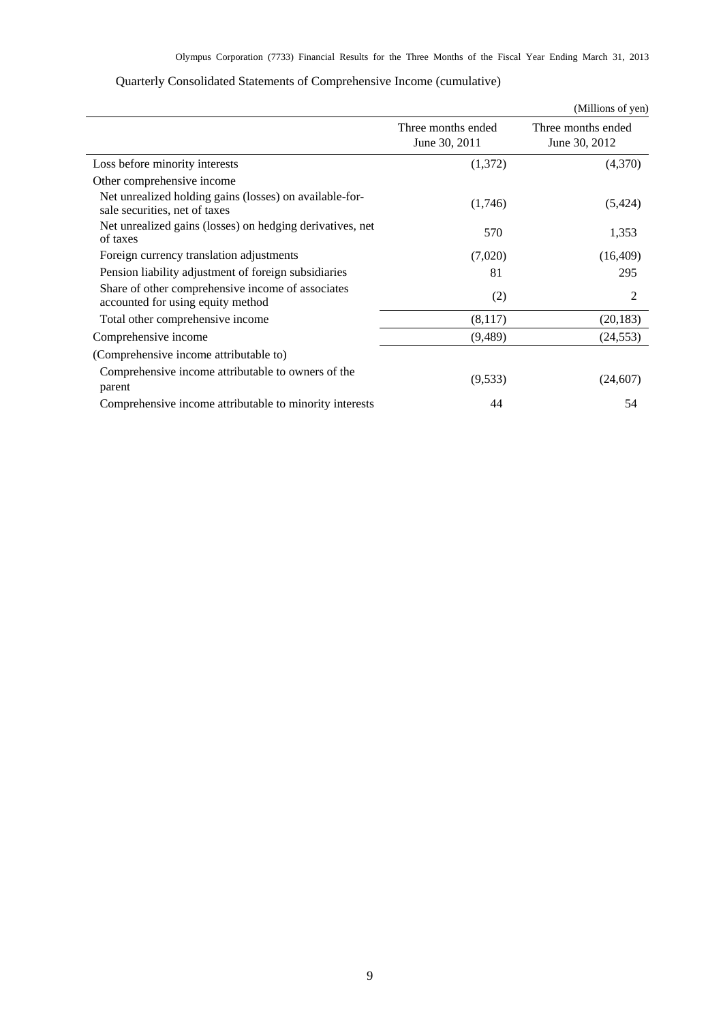<span id="page-10-0"></span>

|                                                                                          |                                     | (Millions of yen)                   |  |
|------------------------------------------------------------------------------------------|-------------------------------------|-------------------------------------|--|
|                                                                                          | Three months ended<br>June 30, 2011 | Three months ended<br>June 30, 2012 |  |
| Loss before minority interests                                                           | (1,372)                             | (4,370)                             |  |
| Other comprehensive income                                                               |                                     |                                     |  |
| Net unrealized holding gains (losses) on available-for-<br>sale securities, net of taxes | (1,746)                             | (5,424)                             |  |
| Net unrealized gains (losses) on hedging derivatives, net<br>of taxes                    | 570                                 | 1,353                               |  |
| Foreign currency translation adjustments                                                 | (7,020)                             | (16, 409)                           |  |
| Pension liability adjustment of foreign subsidiaries                                     | 81                                  | 295                                 |  |
| Share of other comprehensive income of associates<br>accounted for using equity method   | (2)                                 | 2                                   |  |
| Total other comprehensive income                                                         | (8,117)                             | (20, 183)                           |  |
| Comprehensive income                                                                     | (9,489)                             | (24, 553)                           |  |
| (Comprehensive income attributable to)                                                   |                                     |                                     |  |
| Comprehensive income attributable to owners of the<br>parent                             | (9,533)                             | (24, 607)                           |  |
| Comprehensive income attributable to minority interests                                  | 44                                  | 54                                  |  |

# Quarterly Consolidated Statements of Comprehensive Income (cumulative)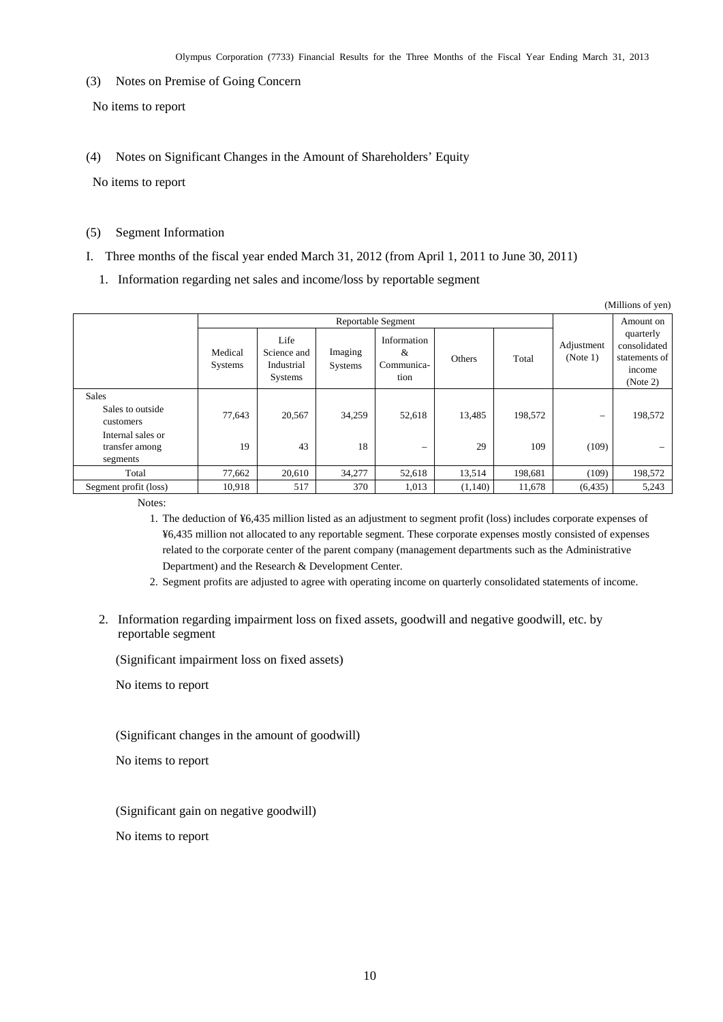<span id="page-11-0"></span>(3) Notes on Premise of Going Concern

No items to report

<span id="page-11-1"></span>(4) Notes on Significant Changes in the Amount of Shareholders' Equity

No items to report

## <span id="page-11-2"></span>(5) Segment Information

- I. Three months of the fiscal year ended March 31, 2012 (from April 1, 2011 to June 30, 2011)
	- 1. Information regarding net sales and income/loss by reportable segment

| (Millions of yen)                                                                                |                    |                                              |                    |                                        |              |                |                            |                                                                  |
|--------------------------------------------------------------------------------------------------|--------------------|----------------------------------------------|--------------------|----------------------------------------|--------------|----------------|----------------------------|------------------------------------------------------------------|
|                                                                                                  | Reportable Segment |                                              |                    |                                        |              | Amount on      |                            |                                                                  |
|                                                                                                  | Medical<br>Systems | Life<br>Science and<br>Industrial<br>Systems | Imaging<br>Systems | Information<br>&<br>Communica-<br>tion | Others       | Total          | Adjustment<br>(Note 1)     | quarterly<br>consolidated<br>statements of<br>income<br>(Note 2) |
| <b>Sales</b><br>Sales to outside<br>customers<br>Internal sales or<br>transfer among<br>segments | 77,643<br>19       | 20,567<br>43                                 | 34,259<br>18       | 52,618<br>$\overline{\phantom{0}}$     | 13,485<br>29 | 198,572<br>109 | $\qquad \qquad -$<br>(109) | 198,572                                                          |
| Total                                                                                            | 77,662             | 20,610                                       | 34,277             | 52,618                                 | 13,514       | 198,681        | (109)                      | 198,572                                                          |
| Segment profit (loss)                                                                            | 10,918             | 517                                          | 370                | 1,013                                  | (1,140)      | 11,678         | (6, 435)                   | 5,243                                                            |

Notes:

- 1. The deduction of ¥6,435 million listed as an adjustment to segment profit (loss) includes corporate expenses of ¥6,435 million not allocated to any reportable segment. These corporate expenses mostly consisted of expenses related to the corporate center of the parent company (management departments such as the Administrative Department) and the Research & Development Center.
- 2. Segment profits are adjusted to agree with operating income on quarterly consolidated statements of income.
- 2. Information regarding impairment loss on fixed assets, goodwill and negative goodwill, etc. by reportable segment

(Significant impairment loss on fixed assets)

No items to report

(Significant changes in the amount of goodwill)

No items to report

(Significant gain on negative goodwill)

No items to report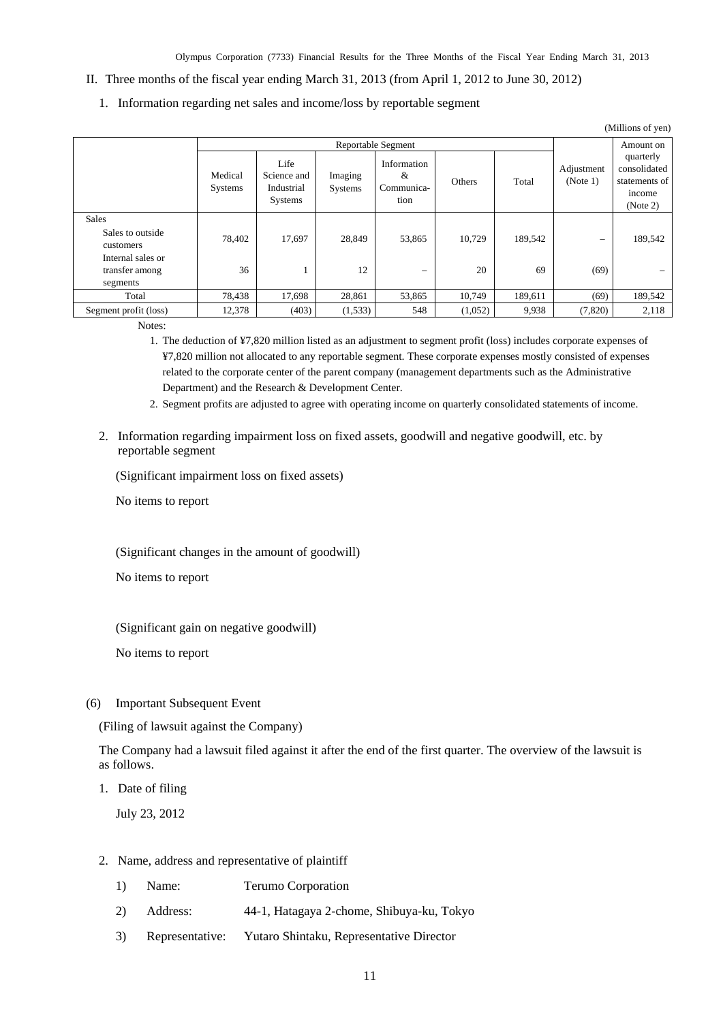#### II. Three months of the fiscal year ending March 31, 2013 (from April 1, 2012 to June 30, 2012)

1. Information regarding net sales and income/loss by reportable segment

| (Millions of yen)                               |                           |                                              |                    |                                        |         |           |                          |                                                                  |
|-------------------------------------------------|---------------------------|----------------------------------------------|--------------------|----------------------------------------|---------|-----------|--------------------------|------------------------------------------------------------------|
|                                                 | <b>Reportable Segment</b> |                                              |                    |                                        |         | Amount on |                          |                                                                  |
|                                                 | Medical<br>Systems        | Life<br>Science and<br>Industrial<br>Systems | Imaging<br>Systems | Information<br>&<br>Communica-<br>tion | Others  | Total     | Adjustment<br>(Note 1)   | quarterly<br>consolidated<br>statements of<br>income<br>(Note 2) |
| <b>Sales</b>                                    |                           |                                              |                    |                                        |         |           |                          |                                                                  |
| Sales to outside<br>customers                   | 78,402                    | 17,697                                       | 28,849             | 53,865                                 | 10,729  | 189,542   | $\overline{\phantom{0}}$ | 189,542                                                          |
| Internal sales or<br>transfer among<br>segments | 36                        |                                              | 12                 | $\overline{\phantom{0}}$               | 20      | 69        | (69)                     |                                                                  |
| Total                                           | 78,438                    | 17,698                                       | 28,861             | 53,865                                 | 10,749  | 189,611   | (69)                     | 189,542                                                          |
| Segment profit (loss)                           | 12,378                    | (403)                                        | (1,533)            | 548                                    | (1,052) | 9,938     | (7,820)                  | 2,118                                                            |

Notes:

1. The deduction of ¥7,820 million listed as an adjustment to segment profit (loss) includes corporate expenses of ¥7,820 million not allocated to any reportable segment. These corporate expenses mostly consisted of expenses related to the corporate center of the parent company (management departments such as the Administrative Department) and the Research & Development Center.

2. Segment profits are adjusted to agree with operating income on quarterly consolidated statements of income.

2. Information regarding impairment loss on fixed assets, goodwill and negative goodwill, etc. by reportable segment

(Significant impairment loss on fixed assets)

No items to report

(Significant changes in the amount of goodwill)

No items to report

(Significant gain on negative goodwill)

No items to report

<span id="page-12-0"></span>(6) Important Subsequent Event

(Filing of lawsuit against the Company)

The Company had a lawsuit filed against it after the end of the first quarter. The overview of the lawsuit is as follows.

1. Date of filing

July 23, 2012

- 2. Name, address and representative of plaintiff
	- 1) Name: Terumo Corporation
	- 2) Address: 44-1, Hatagaya 2-chome, Shibuya-ku, Tokyo
	- 3) Representative: Yutaro Shintaku, Representative Director